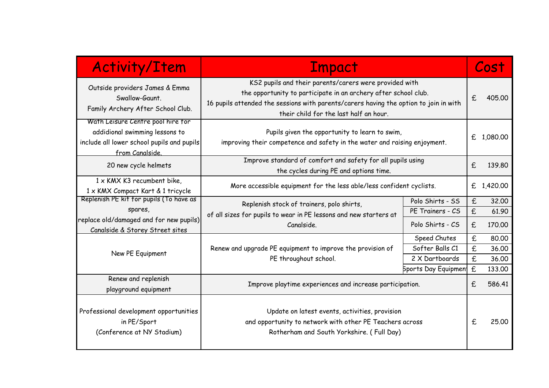| <b>Activity/Item</b>                                                                                                                 | <b>Impact</b>                                                                                                                                                                                                                                                |                            |                    | Cost       |  |
|--------------------------------------------------------------------------------------------------------------------------------------|--------------------------------------------------------------------------------------------------------------------------------------------------------------------------------------------------------------------------------------------------------------|----------------------------|--------------------|------------|--|
| Outside providers James & Emma<br>Swallow-Gaunt.<br>Family Archery After School Club.                                                | KS2 pupils and their parents/carers were provided with<br>the opportunity to participate in an archery after school club.<br>16 pupils attended the sessions with parents/carers having the option to join in with<br>their child for the last half an hour. |                            | $\mathbf f$        | 405.00     |  |
| Wath Leisure Centre pool hire for<br>addidional swimming lessons to<br>include all lower school pupils and pupils<br>from Canalside. | Pupils given the opportunity to learn to swim,<br>improving their competence and safety in the water and raising enjoyment.                                                                                                                                  |                            |                    | £ 1,080.00 |  |
| 20 new cycle helmets                                                                                                                 | Improve standard of comfort and safety for all pupils using<br>the cycles during PE and options time.                                                                                                                                                        |                            | £                  | 139.80     |  |
| $1 \times$ KMX K3 recumbent bike,<br>1 x KMX Compact Kart & 1 tricycle                                                               | More accessible equipment for the less able/less confident cyclists.                                                                                                                                                                                         |                            |                    | £ 1,420.00 |  |
| Replenish PE kit for pupils (To have as                                                                                              | Replenish stock of trainers, polo shirts,                                                                                                                                                                                                                    | Polo Shirts - SS           | $\mathbf f$        | 32,00      |  |
| spares,                                                                                                                              | of all sizes for pupils to wear in PE lessons and new starters at                                                                                                                                                                                            | PE Trainers - CS           | $\pmb{\mathsf{E}}$ | 61.90      |  |
| replace old/damaged and for new pupils)<br>Canalside & Storey Street sites                                                           | Canalside.                                                                                                                                                                                                                                                   | Polo Shirts - CS           | £                  | 170.00     |  |
|                                                                                                                                      | Speed Chutes<br>Renew and upgrade PE equipment to improve the provision of<br>Softer Balls C1<br>2 X Dartboards<br>PE throughout school.                                                                                                                     | $\epsilon$                 | 80,00              |            |  |
| New PE Equipment                                                                                                                     |                                                                                                                                                                                                                                                              |                            | $\mathbf f$        | 36.00      |  |
|                                                                                                                                      |                                                                                                                                                                                                                                                              | $\mathbf f$                | 36.00              |            |  |
|                                                                                                                                      |                                                                                                                                                                                                                                                              | <b>Sports Day Equipmen</b> | £                  | 133.00     |  |
| Renew and replenish<br>playground equipment                                                                                          | Improve playtime experiences and increase participation.                                                                                                                                                                                                     |                            | £                  | 586.41     |  |
| Professional development opportunities<br>in PE/Sport<br>(Conference at NY Stadium)                                                  | Update on latest events, activities, provision<br>and opportunity to network with other PE Teachers across<br>Rotherham and South Yorkshire. (Full Day)                                                                                                      |                            | $\mathbf f$        | 25.00      |  |